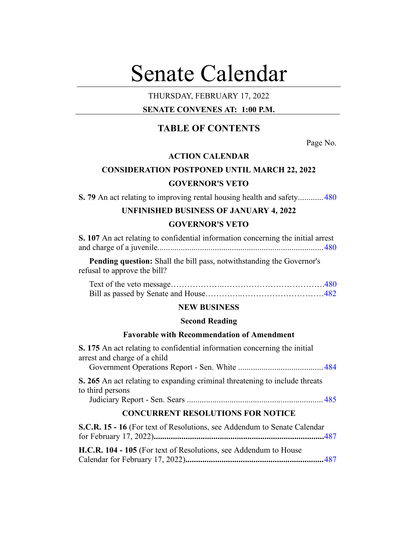# Senate Calendar

## THURSDAY, FEBRUARY 17, 2022

# **SENATE CONVENES AT: 1:00 P.M.**

# **TABLE OF CONTENTS**

Page No.

### **ACTION CALENDAR**

# **CONSIDERATION POSTPONED UNTIL MARCH 22, 2022**

#### **GOVERNOR'S VETO**

**S. 79** An act relating to improving rental housing health and safety............[480](#page-2-0)

# **UNFINISHED BUSINESS OF JANUARY 4, 2022 GOVERNOR'S VETO**

| S. 107 An act relating to confidential information concerning the initial arrest |  |
|----------------------------------------------------------------------------------|--|
|                                                                                  |  |

**Pending question:** Shall the bill pass, notwithstanding the Governor's refusal to approve the bill?

#### **NEW BUSINESS**

#### **Second Reading**

#### **Favorable with Recommendation of Amendment**

**S. 175** An act relating to confidential information concerning the initial arrest and charge of a child Government Operations Report - Sen. White ........................................ [484](#page-6-0) **S. 265** An act relating to expanding criminal threatening to include threats to third persons Judiciary Report - Sen. Sears ................................................................ [485](#page-7-0) **CONCURRENT RESOLUTIONS FOR NOTICE S.C.R. 15 - 16** (For text of Resolutions, see Addendum to Senate Calendar

for February 17, 2022)**................................................................................**[487](#page-9-0)

**H.C.R. 104 - 105** (For text of Resolutions, see Addendum to House Calendar for February 17, 2022)**.................................................................**[487](#page-9-1)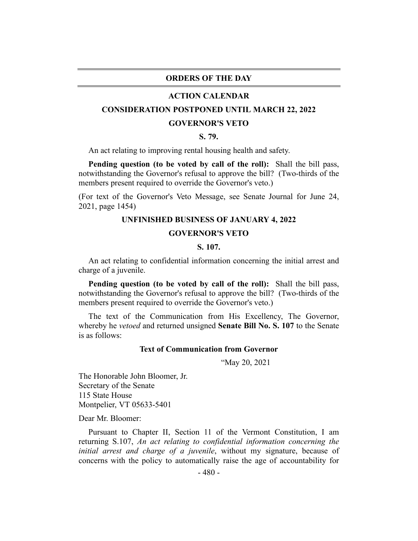#### **ORDERS OF THE DAY**

#### **ACTION CALENDAR**

#### <span id="page-2-0"></span>**CONSIDERATION POSTPONED UNTIL MARCH 22, 2022**

#### **GOVERNOR'S VETO**

#### **S. 79.**

An act relating to improving rental housing health and safety.

**Pending question (to be voted by call of the roll):** Shall the bill pass, notwithstanding the Governor's refusal to approve the bill? (Two-thirds of the members present required to override the Governor's veto.)

<span id="page-2-1"></span>(For text of the Governor's Veto Message, see Senate Journal for June 24, 2021, page 1454)

#### **UNFINISHED BUSINESS OF JANUARY 4, 2022**

#### **GOVERNOR'S VETO**

#### **S. 107.**

An act relating to confidential information concerning the initial arrest and charge of a juvenile.

**Pending question (to be voted by call of the roll):** Shall the bill pass, notwithstanding the Governor's refusal to approve the bill? (Two-thirds of the members present required to override the Governor's veto.)

The text of the Communication from His Excellency, The Governor, whereby he *vetoed* and returned unsigned **Senate Bill No. S. 107** to the Senate is as follows:

#### **Text of Communication from Governor**

"May 20, 2021

The Honorable John Bloomer, Jr. Secretary of the Senate 115 State House Montpelier, VT 05633-5401

Dear Mr. Bloomer:

Pursuant to Chapter II, Section 11 of the Vermont Constitution, I am returning S.107, *An act relating to confidential information concerning the initial arrest and charge of a juvenile*, without my signature, because of concerns with the policy to automatically raise the age of accountability for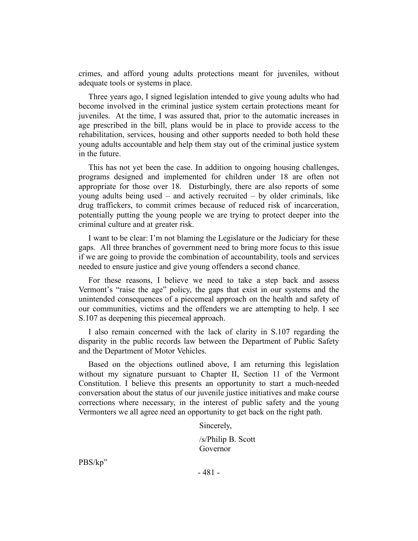crimes, and afford young adults protections meant for juveniles, without adequate tools or systems in place.

Three years ago, I signed legislation intended to give young adults who had become involved in the criminal justice system certain protections meant for juveniles. At the time, I was assured that, prior to the automatic increases in age prescribed in the bill, plans would be in place to provide access to the rehabilitation, services, housing and other supports needed to both hold these young adults accountable and help them stay out of the criminal justice system in the future.

This has not yet been the case. In addition to ongoing housing challenges, programs designed and implemented for children under 18 are often not appropriate for those over 18. Disturbingly, there are also reports of some young adults being used – and actively recruited – by older criminals, like drug traffickers, to commit crimes because of reduced risk of incarceration, potentially putting the young people we are trying to protect deeper into the criminal culture and at greater risk.

I want to be clear: I'm not blaming the Legislature or the Judiciary for these gaps. All three branches of government need to bring more focus to this issue if we are going to provide the combination of accountability, tools and services needed to ensure justice and give young offenders a second chance.

For these reasons, I believe we need to take a step back and assess Vermont's "raise the age" policy, the gaps that exist in our systems and the unintended consequences of a piecemeal approach on the health and safety of our communities, victims and the offenders we are attempting to help. I see S.107 as deepening this piecemeal approach.

I also remain concerned with the lack of clarity in S.107 regarding the disparity in the public records law between the Department of Public Safety and the Department of Motor Vehicles.

Based on the objections outlined above, I am returning this legislation without my signature pursuant to Chapter II, Section 11 of the Vermont Constitution. I believe this presents an opportunity to start a much-needed conversation about the status of our juvenile justice initiatives and make course corrections where necessary, in the interest of public safety and the young Vermonters we all agree need an opportunity to get back on the right path.

Sincerely,

/s/Philip B. Scott Governor

PBS/kp"

- 481 -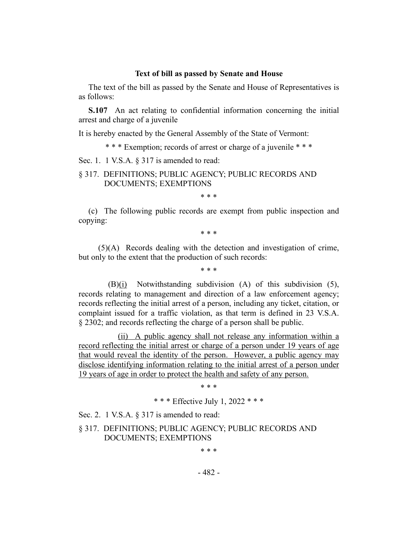#### **Text of bill as passed by Senate and House**

The text of the bill as passed by the Senate and House of Representatives is as follows:

**S.107** An act relating to confidential information concerning the initial arrest and charge of a juvenile

It is hereby enacted by the General Assembly of the State of Vermont:

\* \* \* Exemption; records of arrest or charge of a juvenile \* \* \*

Sec. 1. 1 V.S.A. § 317 is amended to read:

#### § 317. DEFINITIONS; PUBLIC AGENCY; PUBLIC RECORDS AND DOCUMENTS; EXEMPTIONS

\* \* \*

(c) The following public records are exempt from public inspection and copying:

\* \* \*

(5)(A) Records dealing with the detection and investigation of crime, but only to the extent that the production of such records:

\* \* \*

(B)(i) Notwithstanding subdivision (A) of this subdivision (5), records relating to management and direction of a law enforcement agency; records reflecting the initial arrest of a person, including any ticket, citation, or complaint issued for a traffic violation, as that term is defined in 23 V.S.A. § 2302; and records reflecting the charge of a person shall be public.

(ii) A public agency shall not release any information within a record reflecting the initial arrest or charge of a person under 19 years of age that would reveal the identity of the person. However, a public agency may disclose identifying information relating to the initial arrest of a person under 19 years of age in order to protect the health and safety of any person.

\* \* \*

\* \* \* Effective July 1, 2022 \* \* \*

Sec. 2. 1 V.S.A. § 317 is amended to read:

§ 317. DEFINITIONS; PUBLIC AGENCY; PUBLIC RECORDS AND DOCUMENTS; EXEMPTIONS

\* \* \*

- 482 -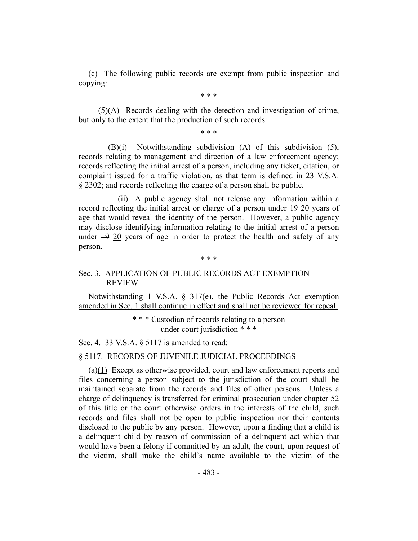(c) The following public records are exempt from public inspection and copying:

\* \* \*

(5)(A) Records dealing with the detection and investigation of crime, but only to the extent that the production of such records:

\* \* \*

(B)(i) Notwithstanding subdivision (A) of this subdivision (5), records relating to management and direction of a law enforcement agency; records reflecting the initial arrest of a person, including any ticket, citation, or complaint issued for a traffic violation, as that term is defined in 23 V.S.A. § 2302; and records reflecting the charge of a person shall be public.

(ii) A public agency shall not release any information within a record reflecting the initial arrest or charge of a person under 19 20 years of age that would reveal the identity of the person. However, a public agency may disclose identifying information relating to the initial arrest of a person under 19 20 years of age in order to protect the health and safety of any person.

#### \* \* \*

#### Sec. 3. APPLICATION OF PUBLIC RECORDS ACT EXEMPTION REVIEW

Notwithstanding 1 V.S.A. § 317(e), the Public Records Act exemption amended in Sec. 1 shall continue in effect and shall not be reviewed for repeal.

> \* \* \* Custodian of records relating to a person under court jurisdiction \* \* \*

Sec. 4. 33 V.S.A. § 5117 is amended to read:

#### § 5117. RECORDS OF JUVENILE JUDICIAL PROCEEDINGS

(a)(1) Except as otherwise provided, court and law enforcement reports and files concerning a person subject to the jurisdiction of the court shall be maintained separate from the records and files of other persons. Unless a charge of delinquency is transferred for criminal prosecution under chapter 52 of this title or the court otherwise orders in the interests of the child, such records and files shall not be open to public inspection nor their contents disclosed to the public by any person. However, upon a finding that a child is a delinquent child by reason of commission of a delinquent act which that would have been a felony if committed by an adult, the court, upon request of the victim, shall make the child's name available to the victim of the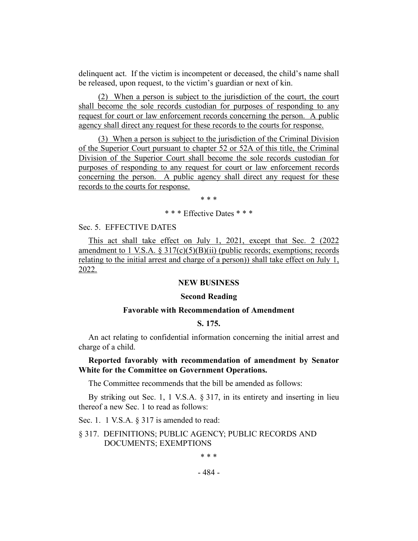delinquent act. If the victim is incompetent or deceased, the child's name shall be released, upon request, to the victim's guardian or next of kin.

(2) When a person is subject to the jurisdiction of the court, the court shall become the sole records custodian for purposes of responding to any request for court or law enforcement records concerning the person. A public agency shall direct any request for these records to the courts for response.

(3) When a person is subject to the jurisdiction of the Criminal Division of the Superior Court pursuant to chapter 52 or 52A of this title, the Criminal Division of the Superior Court shall become the sole records custodian for purposes of responding to any request for court or law enforcement records concerning the person. A public agency shall direct any request for these records to the courts for response.

\* \* \*

\* \* \* Effective Dates \* \* \*

#### Sec. 5. EFFECTIVE DATES

This act shall take effect on July 1, 2021, except that Sec. 2 (2022 amendment to 1 V.S.A.  $\S 317(c)(5)(B)(ii)$  (public records; exemptions; records relating to the initial arrest and charge of a person)) shall take effect on July 1, 2022.

#### **NEW BUSINESS**

#### **Second Reading**

#### **Favorable with Recommendation of Amendment**

#### **S. 175.**

<span id="page-6-0"></span>An act relating to confidential information concerning the initial arrest and charge of a child.

#### **Reported favorably with recommendation of amendment by Senator White for the Committee on Government Operations.**

The Committee recommends that the bill be amended as follows:

By striking out Sec. 1, 1 V.S.A. § 317, in its entirety and inserting in lieu thereof a new Sec. 1 to read as follows:

Sec. 1. 1 V.S.A. § 317 is amended to read:

§ 317. DEFINITIONS; PUBLIC AGENCY; PUBLIC RECORDS AND DOCUMENTS; EXEMPTIONS

\* \* \*

- 484 -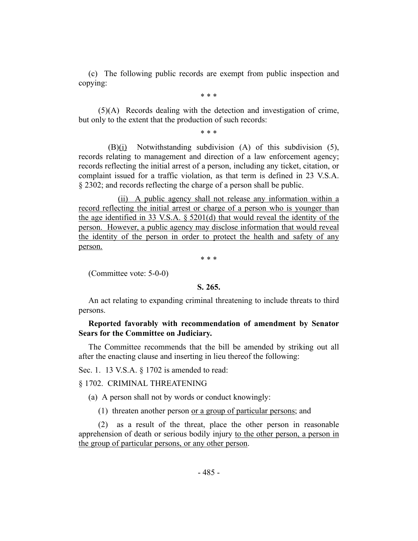(c) The following public records are exempt from public inspection and copying:

\* \* \*

(5)(A) Records dealing with the detection and investigation of crime, but only to the extent that the production of such records:

\* \* \*

(B)(i) Notwithstanding subdivision (A) of this subdivision (5), records relating to management and direction of a law enforcement agency; records reflecting the initial arrest of a person, including any ticket, citation, or complaint issued for a traffic violation, as that term is defined in 23 V.S.A. § 2302; and records reflecting the charge of a person shall be public.

(ii) A public agency shall not release any information within a record reflecting the initial arrest or charge of a person who is younger than the age identified in 33 V.S.A. § 5201(d) that would reveal the identity of the person. However, a public agency may disclose information that would reveal the identity of the person in order to protect the health and safety of any person.

\* \* \*

<span id="page-7-0"></span>(Committee vote: 5-0-0)

#### **S. 265.**

An act relating to expanding criminal threatening to include threats to third persons.

#### **Reported favorably with recommendation of amendment by Senator Sears for the Committee on Judiciary.**

The Committee recommends that the bill be amended by striking out all after the enacting clause and inserting in lieu thereof the following:

Sec. 1. 13 V.S.A. § 1702 is amended to read:

#### § 1702. CRIMINAL THREATENING

(a) A person shall not by words or conduct knowingly:

(1) threaten another person or a group of particular persons; and

(2) as a result of the threat, place the other person in reasonable apprehension of death or serious bodily injury to the other person, a person in the group of particular persons, or any other person.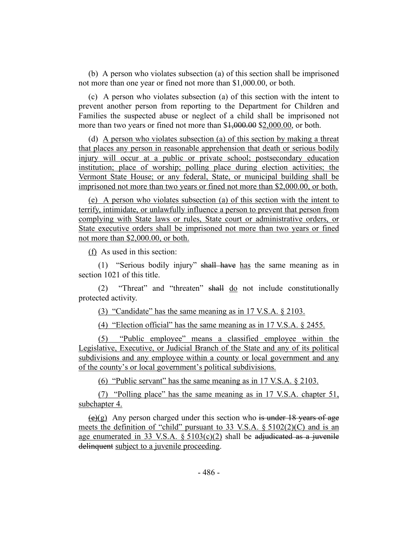(b) A person who violates subsection (a) of this section shall be imprisoned not more than one year or fined not more than \$1,000.00, or both.

(c) A person who violates subsection (a) of this section with the intent to prevent another person from reporting to the Department for Children and Families the suspected abuse or neglect of a child shall be imprisoned not more than two years or fined not more than \$1,000.00 \$2,000.00, or both.

(d) A person who violates subsection (a) of this section by making a threat that places any person in reasonable apprehension that death or serious bodily injury will occur at a public or private school; postsecondary education institution; place of worship; polling place during election activities; the Vermont State House; or any federal, State, or municipal building shall be imprisoned not more than two years or fined not more than \$2,000.00, or both.

(e) A person who violates subsection (a) of this section with the intent to terrify, intimidate, or unlawfully influence a person to prevent that person from complying with State laws or rules, State court or administrative orders, or State executive orders shall be imprisoned not more than two years or fined not more than \$2,000.00, or both.

(f) As used in this section:

(1) "Serious bodily injury" shall have has the same meaning as in section 1021 of this title.

(2) "Threat" and "threaten" shall do not include constitutionally protected activity.

(3) "Candidate" has the same meaning as in 17 V.S.A. § 2103.

(4) "Election official" has the same meaning as in 17 V.S.A. § 2455.

(5) "Public employee" means a classified employee within the Legislative, Executive, or Judicial Branch of the State and any of its political subdivisions and any employee within a county or local government and any of the county's or local government's political subdivisions.

(6) "Public servant" has the same meaning as in 17 V.S.A. § 2103.

(7) "Polling place" has the same meaning as in 17 V.S.A. chapter 51, subchapter 4.

 $(e)(g)$  Any person charged under this section who is under 18 years of age meets the definition of "child" pursuant to 33 V.S.A. § 5102(2)(C) and is an age enumerated in 33 V.S.A.  $\S$  5103(c)(2) shall be adjudicated as a juvenile delinquent subject to a juvenile proceeding.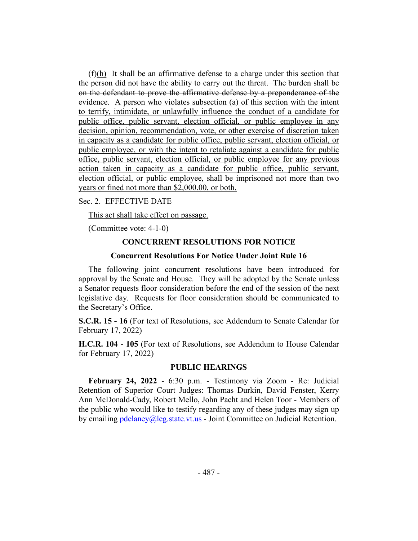$(f)(h)$  It shall be an affirmative defense to a charge under this section that the person did not have the ability to carry out the threat. The burden shall be on the defendant to prove the affirmative defense by a preponderance of the evidence. A person who violates subsection (a) of this section with the intent to terrify, intimidate, or unlawfully influence the conduct of a candidate for public office, public servant, election official, or public employee in any decision, opinion, recommendation, vote, or other exercise of discretion taken in capacity as a candidate for public office, public servant, election official, or public employee, or with the intent to retaliate against a candidate for public office, public servant, election official, or public employee for any previous action taken in capacity as a candidate for public office, public servant, election official, or public employee, shall be imprisoned not more than two years or fined not more than \$2,000.00, or both.

Sec. 2. EFFECTIVE DATE

This act shall take effect on passage.

(Committee vote: 4-1-0)

#### **CONCURRENT RESOLUTIONS FOR NOTICE**

#### **Concurrent Resolutions For Notice Under Joint Rule 16**

The following joint concurrent resolutions have been introduced for approval by the Senate and House. They will be adopted by the Senate unless a Senator requests floor consideration before the end of the session of the next legislative day. Requests for floor consideration should be communicated to the Secretary's Office.

<span id="page-9-0"></span>**S.C.R. 15 - 16** (For text of Resolutions, see Addendum to Senate Calendar for February 17, 2022)

<span id="page-9-1"></span>**H.C.R. 104 - 105** (For text of Resolutions, see Addendum to House Calendar for February 17, 2022)

#### **PUBLIC HEARINGS**

**February 24, 2022** - 6:30 p.m. - Testimony via Zoom - Re: Judicial Retention of Superior Court Judges: Thomas Durkin, David Fenster, Kerry Ann McDonald-Cady, Robert Mello, John Pacht and Helen Toor - Members of the public who would like to testify regarding any of these judges may sign up by emailing pdelaney@leg.state.vt.us - Joint Committee on Judicial Retention.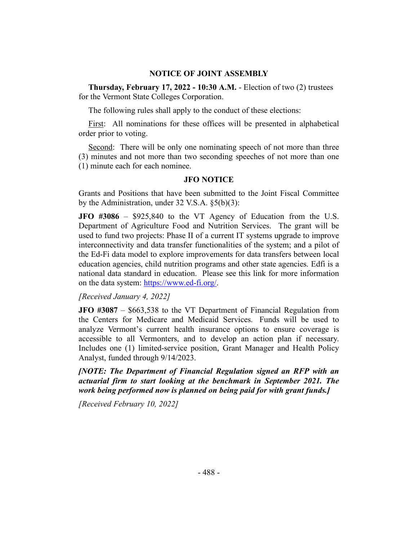#### **NOTICE OF JOINT ASSEMBLY**

**Thursday, February 17, 2022 - 10:30 A.M.** - Election of two (2) trustees for the Vermont State Colleges Corporation.

The following rules shall apply to the conduct of these elections:

First: All nominations for these offices will be presented in alphabetical order prior to voting.

Second: There will be only one nominating speech of not more than three (3) minutes and not more than two seconding speeches of not more than one (1) minute each for each nominee.

#### **JFO NOTICE**

Grants and Positions that have been submitted to the Joint Fiscal Committee by the Administration, under 32 V.S.A. §5(b)(3):

**JFO #3086** – \$925,840 to the VT Agency of Education from the U.S. Department of Agriculture Food and Nutrition Services. The grant will be used to fund two projects: Phase II of a current IT systems upgrade to improve interconnectivity and data transfer functionalities of the system; and a pilot of the Ed-Fi data model to explore improvements for data transfers between local education agencies, child nutrition programs and other state agencies. Edfi is a national data standard in education. Please see this link for more information on the data system: https://www.ed-fi.org/.

*[Received January 4, 2022]*

**JFO #3087** – \$663,538 to the VT Department of Financial Regulation from the Centers for Medicare and Medicaid Services. Funds will be used to analyze Vermont's current health insurance options to ensure coverage is accessible to all Vermonters, and to develop an action plan if necessary. Includes one (1) limited-service position, Grant Manager and Health Policy Analyst, funded through 9/14/2023.

*[NOTE: The Department of Financial Regulation signed an RFP with an actuarial firm to start looking at the benchmark in September 2021. The work being performed now is planned on being paid for with grant funds.]*

*[Received February 10, 2022]*